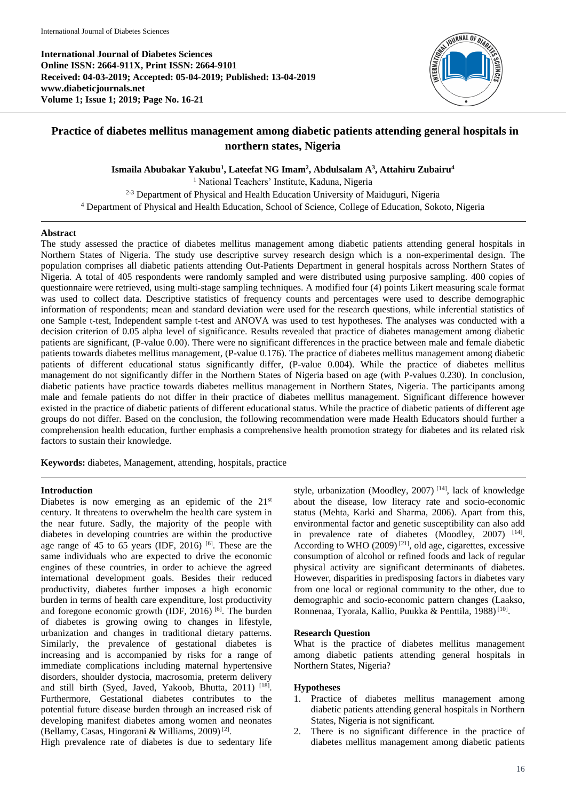**International Journal of Diabetes Sciences Online ISSN: 2664-911X, Print ISSN: 2664-9101 Received: 04-03-2019; Accepted: 05-04-2019; Published: 13-04-2019 www.diabeticjournals.net Volume 1; Issue 1; 2019; Page No. 16-21**



# **Practice of diabetes mellitus management among diabetic patients attending general hospitals in northern states, Nigeria**

**Ismaila Abubakar Yakubu<sup>1</sup> , Lateefat NG Imam<sup>2</sup> , Abdulsalam A<sup>3</sup> , Attahiru Zubairu<sup>4</sup>**

<sup>1</sup> National Teachers' Institute, Kaduna, Nigeria  $2-3$  Department of Physical and Health Education University of Maiduguri, Nigeria <sup>4</sup> Department of Physical and Health Education, School of Science, College of Education, Sokoto, Nigeria

## **Abstract**

The study assessed the practice of diabetes mellitus management among diabetic patients attending general hospitals in Northern States of Nigeria. The study use descriptive survey research design which is a non-experimental design. The population comprises all diabetic patients attending Out-Patients Department in general hospitals across Northern States of Nigeria. A total of 405 respondents were randomly sampled and were distributed using purposive sampling. 400 copies of questionnaire were retrieved, using multi-stage sampling techniques. A modified four (4) points Likert measuring scale format was used to collect data. Descriptive statistics of frequency counts and percentages were used to describe demographic information of respondents; mean and standard deviation were used for the research questions, while inferential statistics of one Sample t-test, Independent sample t-test and ANOVA was used to test hypotheses. The analyses was conducted with a decision criterion of 0.05 alpha level of significance. Results revealed that practice of diabetes management among diabetic patients are significant, (P-value 0.00). There were no significant differences in the practice between male and female diabetic patients towards diabetes mellitus management, (P-value 0.176). The practice of diabetes mellitus management among diabetic patients of different educational status significantly differ, (P-value 0.004). While the practice of diabetes mellitus management do not significantly differ in the Northern States of Nigeria based on age (with P-values 0.230). In conclusion, diabetic patients have practice towards diabetes mellitus management in Northern States, Nigeria. The participants among male and female patients do not differ in their practice of diabetes mellitus management. Significant difference however existed in the practice of diabetic patients of different educational status. While the practice of diabetic patients of different age groups do not differ. Based on the conclusion, the following recommendation were made Health Educators should further a comprehension health education, further emphasis a comprehensive health promotion strategy for diabetes and its related risk factors to sustain their knowledge.

**Keywords:** diabetes, Management, attending, hospitals, practice

## **Introduction**

Diabetes is now emerging as an epidemic of the  $21<sup>st</sup>$ century. It threatens to overwhelm the health care system in the near future. Sadly, the majority of the people with diabetes in developing countries are within the productive age range of 45 to 65 years (IDF, 2016) <sup>[6]</sup>. These are the same individuals who are expected to drive the economic engines of these countries, in order to achieve the agreed international development goals. Besides their reduced productivity, diabetes further imposes a high economic burden in terms of health care expenditure, lost productivity and foregone economic growth  $(IDF, 2016)$  [6]. The burden of diabetes is growing owing to changes in lifestyle, urbanization and changes in traditional dietary patterns. Similarly, the prevalence of gestational diabetes is increasing and is accompanied by risks for a range of immediate complications including maternal hypertensive disorders, shoulder dystocia, macrosomia, preterm delivery and still birth (Syed, Javed, Yakoob, Bhutta, 2011)<sup>[18]</sup>. Furthermore, Gestational diabetes contributes to the potential future disease burden through an increased risk of developing manifest diabetes among women and neonates (Bellamy, Casas, Hingorani & Williams, 2009) [2] .

High prevalence rate of diabetes is due to sedentary life

style, urbanization (Moodley, 2007)<sup>[14]</sup>, lack of knowledge about the disease, low literacy rate and socio-economic status (Mehta, Karki and Sharma, 2006). Apart from this, environmental factor and genetic susceptibility can also add in prevalence rate of diabetes (Moodley, 2007) <sup>[14]</sup>. According to WHO  $(2009)^{[21]}$ , old age, cigarettes, excessive consumption of alcohol or refined foods and lack of regular physical activity are significant determinants of diabetes. However, disparities in predisposing factors in diabetes vary from one local or regional community to the other, due to demographic and socio-economic pattern changes (Laakso, Ronnenaa, Tyorala, Kallio, Puukka & Penttila, 1988)<sup>[10]</sup>.

## **Research Question**

What is the practice of diabetes mellitus management among diabetic patients attending general hospitals in Northern States, Nigeria?

## **Hypotheses**

- 1. Practice of diabetes mellitus management among diabetic patients attending general hospitals in Northern States, Nigeria is not significant.
- 2. There is no significant difference in the practice of diabetes mellitus management among diabetic patients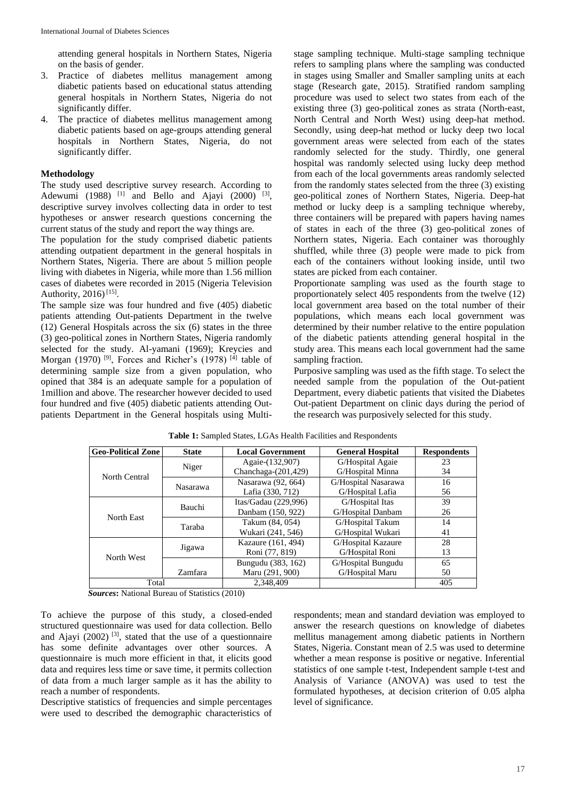attending general hospitals in Northern States, Nigeria on the basis of gender.

- 3. Practice of diabetes mellitus management among diabetic patients based on educational status attending general hospitals in Northern States, Nigeria do not significantly differ.
- 4. The practice of diabetes mellitus management among diabetic patients based on age-groups attending general hospitals in Northern States, Nigeria, do not significantly differ.

### **Methodology**

The study used descriptive survey research. According to Adewumi (1988)<sup>[1]</sup> and Bello and Ajayi (2000)<sup>[3]</sup>, descriptive survey involves collecting data in order to test hypotheses or answer research questions concerning the current status of the study and report the way things are.

The population for the study comprised diabetic patients attending outpatient department in the general hospitals in Northern States, Nigeria. There are about 5 million people living with diabetes in Nigeria, while more than 1.56 million cases of diabetes were recorded in 2015 (Nigeria Television Authority, 2016)<sup>[15]</sup>.

The sample size was four hundred and five (405) diabetic patients attending Out-patients Department in the twelve (12) General Hospitals across the six (6) states in the three (3) geo-political zones in Northern States, Nigeria randomly selected for the study. Al-yamani (1969); Kreycies and Morgan (1970)<sup>[9]</sup>, Forces and Richer's (1978)<sup>[4]</sup> table of determining sample size from a given population, who opined that 384 is an adequate sample for a population of 1million and above. The researcher however decided to used four hundred and five (405) diabetic patients attending Outpatients Department in the General hospitals using Multi-

stage sampling technique. Multi-stage sampling technique refers to sampling plans where the sampling was conducted in stages using Smaller and Smaller sampling units at each stage (Research gate, 2015). Stratified random sampling procedure was used to select two states from each of the existing three (3) geo-political zones as strata (North-east, North Central and North West) using deep-hat method. Secondly, using deep-hat method or lucky deep two local government areas were selected from each of the states randomly selected for the study. Thirdly, one general hospital was randomly selected using lucky deep method from each of the local governments areas randomly selected from the randomly states selected from the three (3) existing geo-political zones of Northern States, Nigeria. Deep-hat method or lucky deep is a sampling technique whereby, three containers will be prepared with papers having names of states in each of the three (3) geo-political zones of Northern states, Nigeria. Each container was thoroughly shuffled, while three (3) people were made to pick from each of the containers without looking inside, until two states are picked from each container.

Proportionate sampling was used as the fourth stage to proportionately select 405 respondents from the twelve (12) local government area based on the total number of their populations, which means each local government was determined by their number relative to the entire population of the diabetic patients attending general hospital in the study area. This means each local government had the same sampling fraction.

Purposive sampling was used as the fifth stage. To select the needed sample from the population of the Out-patient Department, every diabetic patients that visited the Diabetes Out-patient Department on clinic days during the period of the research was purposively selected for this study.

| <b>Geo-Political Zone</b> | <b>State</b> | <b>Local Government</b> | <b>General Hospital</b> | <b>Respondents</b> |
|---------------------------|--------------|-------------------------|-------------------------|--------------------|
|                           |              | Agaie-(132,907)         | G/Hospital Agaie        | 23                 |
| North Central             | Niger        | Chanchaga- $(201, 429)$ | G/Hospital Minna        | 34                 |
|                           |              | Nasarawa (92, 664)      | G/Hospital Nasarawa     | 16                 |
|                           | Nasarawa     | Lafia (330, 712)        | G/Hospital Lafia        | 56                 |
|                           | Bauchi       | Itas/Gadau (229,996)    | G/Hospital Itas         | 39                 |
| North East                |              | Danbam (150, 922)       | G/Hospital Danbam       | 26                 |
|                           | Taraba       | Takum (84, 054)         | G/Hospital Takum        | 14                 |
|                           |              | Wukari (241, 546)       | G/Hospital Wukari       | 41                 |
|                           |              | Kazaure (161, 494)      | G/Hospital Kazaure      | 28                 |
| North West                | Jigawa       | Roni (77, 819)          | G/Hospital Roni         | 13                 |
|                           |              | Bungudu (383, 162)      | G/Hospital Bungudu      | 65                 |
|                           | Zamfara      | Maru (291, 900)         | G/Hospital Maru         | 50                 |
| Total                     |              | 2.348.409               |                         | 405                |

| Table 1: Sampled States, LGAs Health Facilities and Respondents |  |  |
|-----------------------------------------------------------------|--|--|
|-----------------------------------------------------------------|--|--|

*Sources***:** National Bureau of Statistics (2010)

To achieve the purpose of this study, a closed-ended structured questionnaire was used for data collection. Bello and Ajayi  $(2002)$  <sup>[3]</sup>, stated that the use of a questionnaire has some definite advantages over other sources. A questionnaire is much more efficient in that, it elicits good data and requires less time or save time, it permits collection of data from a much larger sample as it has the ability to reach a number of respondents.

Descriptive statistics of frequencies and simple percentages were used to described the demographic characteristics of respondents; mean and standard deviation was employed to answer the research questions on knowledge of diabetes mellitus management among diabetic patients in Northern States, Nigeria. Constant mean of 2.5 was used to determine whether a mean response is positive or negative. Inferential statistics of one sample t-test, Independent sample t-test and Analysis of Variance (ANOVA) was used to test the formulated hypotheses, at decision criterion of 0.05 alpha level of significance.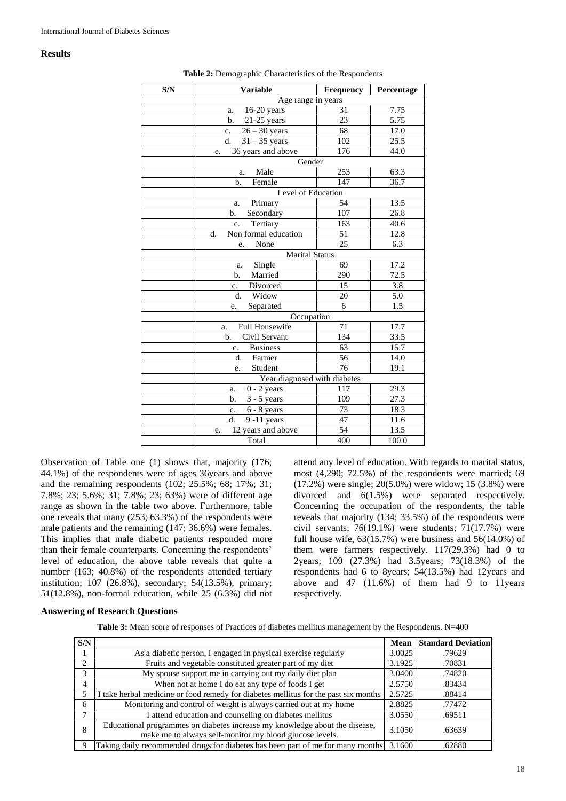#### **Results**

| S/N | <b>Variable</b>                   | Frequency       | Percentage       |
|-----|-----------------------------------|-----------------|------------------|
|     | Age range in years                |                 |                  |
|     | $16-20$ years<br>a.               | 31              | 7.75             |
|     | b.<br>$21-25$ years               | 23              | 5.75             |
|     | $26 - 30$ years<br>$\mathbf{c}$ . | 68              | 17.0             |
|     | d.<br>$31 - 35$ years             | 102             | 25.5             |
|     | 36 years and above<br>e.          | 176             | 44.0             |
|     | Gender                            |                 |                  |
|     | Male<br>a.                        | 253             | 63.3             |
|     | $b$<br>Female                     | 147             | 36.7             |
|     | Level of Education                |                 |                  |
|     | Primary<br>a.                     | 54              | 13.5             |
|     | Secondary<br>b.                   | 107             | 26.8             |
|     | Tertiary<br>c.                    | 163             | 40.6             |
|     | Non formal education<br>d.        | 51              | 12.8             |
|     | None<br>e.                        | $\overline{25}$ | $6.\overline{3}$ |
|     | <b>Marital Status</b>             |                 |                  |
|     | Single<br>a.                      | 69              | 17.2             |
|     | Married<br>$\mathbf{b}$ .         | 290             | 72.5             |
|     | Divorced<br>c.                    | 15              | 3.8              |
|     | Widow<br>d.                       | 20              | 5.0              |
|     | Separated<br>e.                   | 6               | 1.5              |
|     | Occupation                        |                 |                  |
|     | <b>Full Housewife</b><br>a.       | 71              | 17.7             |
|     | Civil Servant<br>b.               | 134             | 33.5             |
|     | <b>Business</b><br>c.             | $6\overline{3}$ | 15.7             |
|     | d.<br>Farmer                      | 56              | 14.0             |
|     | Student<br>e.                     | 76              | 19.1             |
|     | Year diagnosed with diabetes      |                 |                  |
|     | $0 - 2$ years<br>117<br>a.        |                 | 29.3             |
|     | b.<br>$3 - 5$ years               | 109             | 27.3             |
|     | $6 - 8$ years<br>c.               | 73              | 18.3             |
|     | $9 - 11$ years<br>d.              | 47              | 11.6             |
|     | 12 years and above<br>e.          | 54              | 13.5             |
|     | Total                             | 400             | 100.0            |

#### **Table 2:** Demographic Characteristics of the Respondents

Observation of Table one (1) shows that, majority (176; 44.1%) of the respondents were of ages 36years and above and the remaining respondents (102; 25.5%; 68; 17%; 31; 7.8%; 23; 5.6%; 31; 7.8%; 23; 63%) were of different age range as shown in the table two above. Furthermore, table one reveals that many (253; 63.3%) of the respondents were male patients and the remaining (147; 36.6%) were females. This implies that male diabetic patients responded more than their female counterparts. Concerning the respondents' level of education, the above table reveals that quite a number (163; 40.8%) of the respondents attended tertiary institution; 107 (26.8%), secondary; 54(13.5%), primary; 51(12.8%), non-formal education, while 25 (6.3%) did not

attend any level of education. With regards to marital status, most (4,290; 72.5%) of the respondents were married; 69 (17.2%) were single; 20(5.0%) were widow; 15 (3.8%) were divorced and 6(1.5%) were separated respectively. Concerning the occupation of the respondents, the table reveals that majority (134; 33.5%) of the respondents were civil servants;  $76(19.1\%)$  were students;  $71(17.7\%)$  were full house wife,  $63(15.7%)$  were business and  $56(14.0%)$  of them were farmers respectively.  $117(29.3%)$  had 0 to 2years; 109 (27.3%) had 3.5years; 73(18.3%) of the respondents had 6 to 8years; 54(13.5%) had 12years and above and  $47$   $(11.6\%)$  of them had 9 to 11years respectively.

## **Answering of Research Questions**

|  | Table 3: Mean score of responses of Practices of diabetes mellitus management by the Respondents. N=400 |  |  |  |  |
|--|---------------------------------------------------------------------------------------------------------|--|--|--|--|
|--|---------------------------------------------------------------------------------------------------------|--|--|--|--|

| S/N            |                                                                                                                                        | Mean   | <b>Standard Deviation</b> |
|----------------|----------------------------------------------------------------------------------------------------------------------------------------|--------|---------------------------|
|                | As a diabetic person, I engaged in physical exercise regularly                                                                         | 3.0025 | .79629                    |
| $\mathfrak{D}$ | Fruits and vegetable constituted greater part of my diet                                                                               | 3.1925 | .70831                    |
| 3              | My spouse support me in carrying out my daily diet plan                                                                                | 3.0400 | .74820                    |
| 4              | When not at home I do eat any type of foods I get                                                                                      | 2.5750 | .83434                    |
| 5              | take herbal medicine or food remedy for diabetes mellitus for the past six months                                                      | 2.5725 | .88414                    |
| 6              | Monitoring and control of weight is always carried out at my home                                                                      | 2.8825 | .77472                    |
| 7              | I attend education and counseling on diabetes mellitus                                                                                 | 3.0550 | .69511                    |
| 8              | Educational programmes on diabetes increase my knowledge about the disease,<br>make me to always self-monitor my blood glucose levels. | 3.1050 | .63639                    |
| 9              | Taking daily recommended drugs for diabetes has been part of me for many months 3.1600                                                 |        | .62880                    |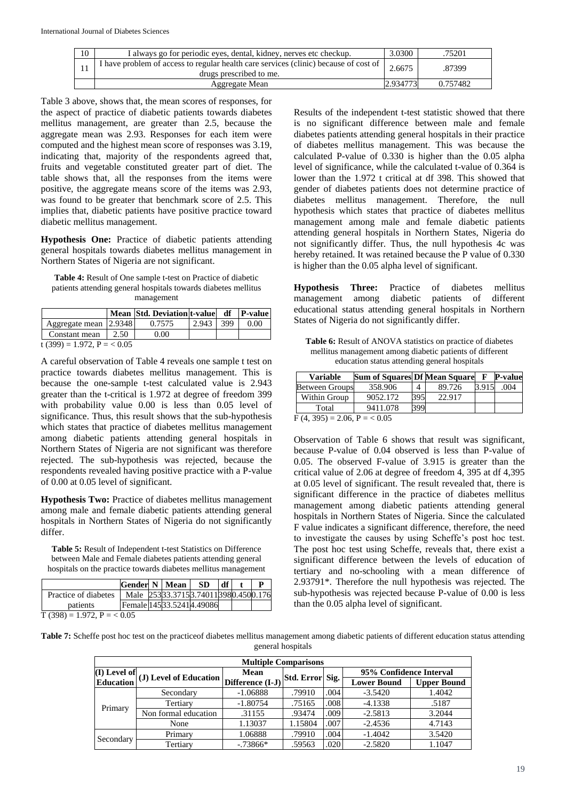| 10 | I always go for periodic eyes, dental, kidney, nerves etc checkup.                                              | 3.0300   | .75201   |
|----|-----------------------------------------------------------------------------------------------------------------|----------|----------|
|    | I have problem of access to regular health care services (clinic) because of cost of<br>drugs prescribed to me. | 2.6675   | .87399   |
|    | Aggregate Mean                                                                                                  | 2.934773 | 0.757482 |

Table 3 above, shows that, the mean scores of responses, for the aspect of practice of diabetic patients towards diabetes mellitus management, are greater than 2.5, because the aggregate mean was 2.93. Responses for each item were computed and the highest mean score of responses was 3.19, indicating that, majority of the respondents agreed that, fruits and vegetable constituted greater part of diet. The table shows that, all the responses from the items were positive, the aggregate means score of the items was 2.93, was found to be greater that benchmark score of 2.5. This implies that, diabetic patients have positive practice toward diabetic mellitus management.

**Hypothesis One:** Practice of diabetic patients attending general hospitals towards diabetes mellitus management in Northern States of Nigeria are not significant.

**Table 4:** Result of One sample t-test on Practice of diabetic patients attending general hospitals towards diabetes mellitus management

|                               |      | Mean Std. Deviation t-value df P-value |       |     |      |  |  |  |
|-------------------------------|------|----------------------------------------|-------|-----|------|--|--|--|
| Aggregate mean [2.9348]       |      | 0.7575                                 | 2.943 | 399 | 0.00 |  |  |  |
| Constant mean                 | 2.50 | 0.00                                   |       |     |      |  |  |  |
| t (399) = 1.972, P = $< 0.05$ |      |                                        |       |     |      |  |  |  |

A careful observation of Table 4 reveals one sample t test on practice towards diabetes mellitus management. This is because the one-sample t-test calculated value is 2.943 greater than the t-critical is 1.972 at degree of freedom 399 with probability value 0.00 is less than 0.05 level of significance. Thus, this result shows that the sub-hypothesis which states that practice of diabetes mellitus management among diabetic patients attending general hospitals in Northern States of Nigeria are not significant was therefore rejected. The sub-hypothesis was rejected, because the respondents revealed having positive practice with a P-value of 0.00 at 0.05 level of significant.

**Hypothesis Two:** Practice of diabetes mellitus management among male and female diabetic patients attending general hospitals in Northern States of Nigeria do not significantly differ.

**Table 5:** Result of Independent t-test Statistics on Difference between Male and Female diabetes patients attending general hospitals on the practice towards diabetes mellitus management

|                      | <b>Gender N   Mean  </b> |  |  | <b>SD</b>                           | df |  |  |  |
|----------------------|--------------------------|--|--|-------------------------------------|----|--|--|--|
| Practice of diabetes |                          |  |  | Male 25333.37153.740113980.4500.176 |    |  |  |  |
| patients             | Female 14533.52414.49086 |  |  |                                     |    |  |  |  |
| T (200) 1072 D       |                          |  |  |                                     |    |  |  |  |

Results of the independent t-test statistic showed that there is no significant difference between male and female diabetes patients attending general hospitals in their practice of diabetes mellitus management. This was because the calculated P-value of 0.330 is higher than the 0.05 alpha level of significance, while the calculated t-value of 0.364 is lower than the 1.972 t critical at df 398. This showed that gender of diabetes patients does not determine practice of diabetes mellitus management. Therefore, the null hypothesis which states that practice of diabetes mellitus management among male and female diabetic patients attending general hospitals in Northern States, Nigeria do not significantly differ. Thus, the null hypothesis 4c was hereby retained. It was retained because the P value of 0.330 is higher than the 0.05 alpha level of significant.

**Hypothesis Three:** Practice of diabetes mellitus management among diabetic patients of different educational status attending general hospitals in Northern States of Nigeria do not significantly differ.

**Table 6:** Result of ANOVA statistics on practice of diabetes mellitus management among diabetic patients of different education status attending general hospitals

| <b>Variable</b>              | <b>Sum of Squares Df Mean Square</b> |     |        | $\mathbf F$ | <b>P-value</b> |  |  |
|------------------------------|--------------------------------------|-----|--------|-------------|----------------|--|--|
| <b>Between Groups</b>        | 358.906                              | 4   | 89.726 | 3.915       | .004           |  |  |
| Within Group                 | 9052.172                             | 395 | 22.917 |             |                |  |  |
| Total                        | 9411.078                             | 399 |        |             |                |  |  |
| $E(A, 305) = 206$ $D = 2005$ |                                      |     |        |             |                |  |  |

 $F(4, 395) = 2.06$ ,  $P = 6.05$ 

Observation of Table 6 shows that result was significant, because P-value of 0.04 observed is less than P-value of 0.05. The observed F-value of 3.915 is greater than the critical value of 2.06 at degree of freedom 4, 395 at df 4,395 at 0.05 level of significant. The result revealed that, there is significant difference in the practice of diabetes mellitus management among diabetic patients attending general hospitals in Northern States of Nigeria. Since the calculated F value indicates a significant difference, therefore, the need to investigate the causes by using Scheffe's post hoc test. The post hoc test using Scheffe, reveals that, there exist a significant difference between the levels of education of tertiary and no-schooling with a mean difference of 2.93791\*. Therefore the null hypothesis was rejected. The sub-hypothesis was rejected because P-value of 0.00 is less than the 0.05 alpha level of significant.

 $T(398) = 1.972$ ,  $P = 0.05$ 

**Table 7:** Scheffe post hoc test on the practiceof diabetes mellitus management among diabetic patients of different education status attending general hospitals

| <b>Multiple Comparisons</b> |                                                                                                 |             |                 |      |                         |                    |  |  |
|-----------------------------|-------------------------------------------------------------------------------------------------|-------------|-----------------|------|-------------------------|--------------------|--|--|
|                             | $\left \frac{I(1)}{I(L)}\right $ Level of Education $\left \frac{Mean}{Difference(I-J)}\right $ |             | Std. Error Sig. |      | 95% Confidence Interval |                    |  |  |
|                             |                                                                                                 |             |                 |      | <b>Lower Bound</b>      | <b>Upper Bound</b> |  |  |
| Primary                     | Secondary                                                                                       | $-1.06888$  | .79910          | .004 | $-3.5420$               | 1.4042             |  |  |
|                             | Tertiary                                                                                        | $-1.80754$  | .75165          | .008 | $-4.1338$               | .5187              |  |  |
|                             | Non formal education                                                                            | .31155      | .93474          | .009 | $-2.5813$               | 3.2044             |  |  |
|                             | None                                                                                            | 1.13037     | 1.15804         | .007 | $-2.4536$               | 4.7143             |  |  |
| Secondary                   | Primary                                                                                         | 1.06888     | .79910          | .004 | $-1.4042$               | 3.5420             |  |  |
|                             | Tertiary                                                                                        | $-0.73866*$ | .59563          | .020 | $-2.5820$               | 1.1047             |  |  |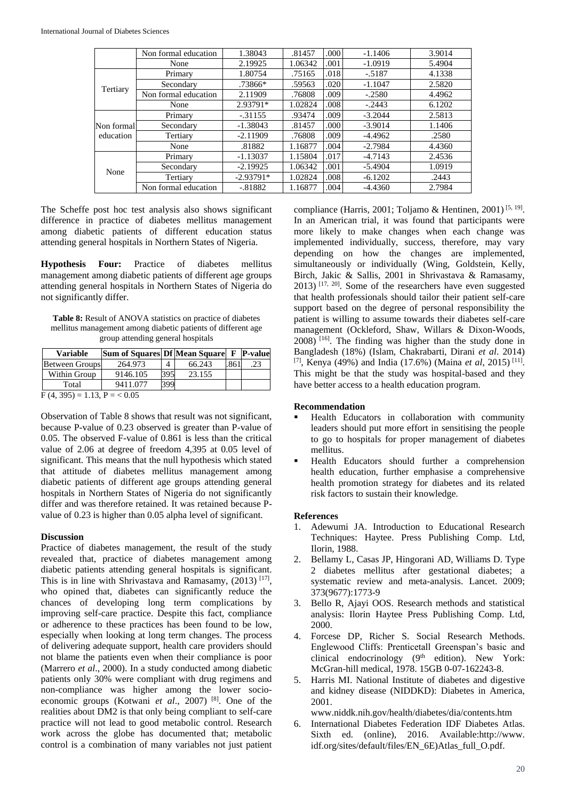|            | Non formal education | 1.38043     | .81457  | .000  | $-1.1406$ | 3.9014 |
|------------|----------------------|-------------|---------|-------|-----------|--------|
|            | None                 | 2.19925     | 1.06342 | .001  | $-1.0919$ | 5.4904 |
|            | Primary              | 1.80754     | .75165  | .018  | $-.5187$  | 4.1338 |
| Tertiary   | Secondary            | $.73866*$   | .59563  | .020  | $-1.1047$ | 2.5820 |
|            | Non formal education | 2.11909     | .76808  | .009  | $-.2580$  | 4.4962 |
|            | None                 | 2.93791*    | 1.02824 | .008  | $-.2443$  | 6.1202 |
|            | Primary              | $-0.31155$  | .93474  | .009  | $-3.2044$ | 2.5813 |
| Non formal | Secondary            | $-1.38043$  | .81457  | .000. | $-3.9014$ | 1.1406 |
| education  | Tertiary             | $-2.11909$  | .76808  | .009  | $-4.4962$ | .2580  |
|            | None                 | .81882      | 1.16877 | .004  | $-2.7984$ | 4.4360 |
|            | Primary              | $-1.13037$  | 1.15804 | .017  | $-4.7143$ | 2.4536 |
| None       | Secondary            | $-2.19925$  | 1.06342 | .001  | $-5.4904$ | 1.0919 |
|            | Tertiary             | $-2.93791*$ | 1.02824 | .008  | $-6.1202$ | .2443  |
|            | Non formal education | $-.81882$   | 1.16877 | .004  | $-4.4360$ | 2.7984 |

The Scheffe post hoc test analysis also shows significant difference in practice of diabetes mellitus management among diabetic patients of different education status attending general hospitals in Northern States of Nigeria.

**Hypothesis Four:** Practice of diabetes mellitus management among diabetic patients of different age groups attending general hospitals in Northern States of Nigeria do not significantly differ.

**Table 8:** Result of ANOVA statistics on practice of diabetes mellitus management among diabetic patients of different age group attending general hospitals

| <b>Variable</b>                        | Sum of Squares Df Mean Square F P-value |     |        |      |     |  |  |
|----------------------------------------|-----------------------------------------|-----|--------|------|-----|--|--|
| <b>Between Groups</b>                  | 264.973                                 |     | 66.243 | .861 | .23 |  |  |
| Within Group                           | 9146.105                                | 395 | 23.155 |      |     |  |  |
| Total                                  | 9411.077                                | 399 |        |      |     |  |  |
| $E(A, 205) = 1.12$ , $D = \angle A B5$ |                                         |     |        |      |     |  |  |

 $F(4, 395) = 1.13, P = 0.05$ 

Observation of Table 8 shows that result was not significant, because P-value of 0.23 observed is greater than P-value of 0.05. The observed F-value of 0.861 is less than the critical value of 2.06 at degree of freedom 4,395 at 0.05 level of significant. This means that the null hypothesis which stated that attitude of diabetes mellitus management among diabetic patients of different age groups attending general hospitals in Northern States of Nigeria do not significantly differ and was therefore retained. It was retained because Pvalue of 0.23 is higher than 0.05 alpha level of significant.

## **Discussion**

Practice of diabetes management, the result of the study revealed that, practice of diabetes management among diabetic patients attending general hospitals is significant. This is in line with Shrivastava and Ramasamy,  $(2013)$ <sup>[17]</sup>, who opined that, diabetes can significantly reduce the chances of developing long term complications by improving self-care practice. Despite this fact, compliance or adherence to these practices has been found to be low, especially when looking at long term changes. The process of delivering adequate support, health care providers should not blame the patients even when their compliance is poor (Marrero *et al*., 2000). In a study conducted among diabetic patients only 30% were compliant with drug regimens and non-compliance was higher among the lower socioeconomic groups (Kotwani *et al*., 2007) [8]. One of the realities about DM2 is that only being compliant to self-care practice will not lead to good metabolic control. Research work across the globe has documented that; metabolic control is a combination of many variables not just patient

compliance (Harris, 2001; Toljamo & Hentinen, 2001)<sup>[5, 19]</sup>. In an American trial, it was found that participants were more likely to make changes when each change was implemented individually, success, therefore, may vary depending on how the changes are implemented, simultaneously or individually (Wing, Goldstein, Kelly, Birch, Jakic & Sallis, 2001 in Shrivastava & Ramasamy,  $2013$ ) [17, 20]. Some of the researchers have even suggested that health professionals should tailor their patient self-care support based on the degree of personal responsibility the patient is willing to assume towards their diabetes self-care management (Ockleford, Shaw, Willars & Dixon-Woods,  $2008$ <sup> $(16)$ </sup>. The finding was higher than the study done in Bangladesh (18%) (Islam, Chakrabarti, Dirani *et al*. 2014) [7], Kenya (49%) and India (17.6%) (Maina *et al*, 2015) [11] . This might be that the study was hospital-based and they have better access to a health education program.

## **Recommendation**

- Health Educators in collaboration with community leaders should put more effort in sensitising the people to go to hospitals for proper management of diabetes mellitus.
- Health Educators should further a comprehension health education, further emphasise a comprehensive health promotion strategy for diabetes and its related risk factors to sustain their knowledge.

## **References**

- 1. Adewumi JA. Introduction to Educational Research Techniques: Haytee. Press Publishing Comp. Ltd, Ilorin, 1988.
- 2. Bellamy L, Casas JP, Hingorani AD, Williams D. Type 2 diabetes mellitus after gestational diabetes; a systematic review and meta-analysis. Lancet. 2009; 373(9677):1773-9
- 3. Bello R, Ajayi OOS. Research methods and statistical analysis: Ilorin Haytee Press Publishing Comp. Ltd, 2000.
- 4. Forcese DP, Richer S. Social Research Methods. Englewood Cliffs: Prenticetall Greenspan's basic and clinical endocrinology  $(9<sup>th</sup>$  edition). New York: McGran-hill medical, 1978. 15GB 0-07-162243-8.
- 5. Harris MI. National Institute of diabetes and digestive and kidney disease (NIDDKD): Diabetes in America, 2001.

www.niddk.nih.gov/health/diabetes/dia/contents.htm

6. International Diabetes Federation IDF Diabetes Atlas. Sixth ed. (online), 2016. Available:http://www. idf.org/sites/default/files/EN\_6E)Atlas\_full\_O.pdf.